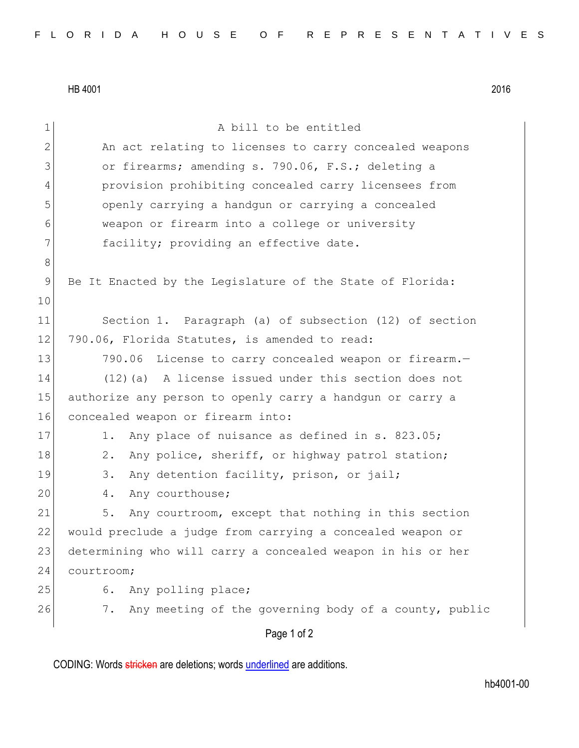HB 4001 2016

| 1              | A bill to be entitled                                       |
|----------------|-------------------------------------------------------------|
| $\mathbf{2}$   | An act relating to licenses to carry concealed weapons      |
| 3              | or firearms; amending s. 790.06, F.S.; deleting a           |
| 4              | provision prohibiting concealed carry licensees from        |
| 5              | openly carrying a handgun or carrying a concealed           |
| 6              | weapon or firearm into a college or university              |
| 7              | facility; providing an effective date.                      |
| 8              |                                                             |
| $\overline{9}$ | Be It Enacted by the Legislature of the State of Florida:   |
| 10             |                                                             |
| 11             | Section 1. Paragraph (a) of subsection (12) of section      |
| 12             | 790.06, Florida Statutes, is amended to read:               |
| 13             | 790.06 License to carry concealed weapon or firearm.-       |
| 14             | $(12)$ (a) A license issued under this section does not     |
| 15             | authorize any person to openly carry a handgun or carry a   |
| 16             | concealed weapon or firearm into:                           |
| 17             | Any place of nuisance as defined in s. 823.05;<br>1.        |
| 18             | Any police, sheriff, or highway patrol station;<br>$2$ .    |
| 19             | 3.<br>Any detention facility, prison, or jail;              |
| 20             | Any courthouse;<br>4.                                       |
| 21             | Any courtroom, except that nothing in this section<br>5.    |
| 22             | would preclude a judge from carrying a concealed weapon or  |
| 23             | determining who will carry a concealed weapon in his or her |
| 24             | courtroom;                                                  |
| 25             | Any polling place;<br>6.                                    |
| 26             | 7.<br>Any meeting of the governing body of a county, public |
|                | Page 1 of 2                                                 |

CODING: Words stricken are deletions; words underlined are additions.